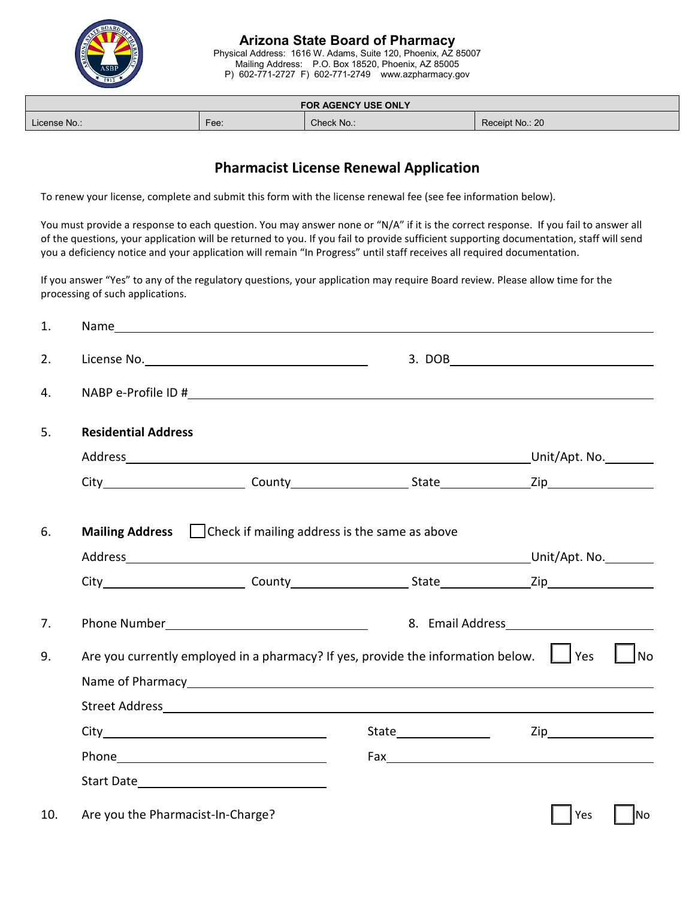

# **Arizona State Board of Pharmacy**

Physical Address: 1616 W. Adams, Suite 120, Phoenix, AZ 85007 Mailing Address: P.O. Box 18520, Phoenix, AZ 85005 P) 602-771-2727 F) 602-771-2749 www.azpharmacy.gov

| <b>FOR AGENCY USE ONLY</b> |           |            |                 |  |  |  |
|----------------------------|-----------|------------|-----------------|--|--|--|
| License No.:               | -<br>Fee: | Check No.: | Receipt No.: 20 |  |  |  |

## **Pharmacist License Renewal Application**

To renew your license, complete and submit this form with the license renewal fee (see fee information below).

You must provide a response to each question. You may answer none or "N/A" if it is the correct response. If you fail to answer all of the questions, your application will be returned to you. If you fail to provide sufficient supporting documentation, staff will send you a deficiency notice and your application will remain "In Progress" until staff receives all required documentation.

If you answer "Yes" to any of the regulatory questions, your application may require Board review. Please allow time for the processing of such applications.

| 1.  |                                                                                                                                                                                                                                                                          |  |  |                                           |  |  |
|-----|--------------------------------------------------------------------------------------------------------------------------------------------------------------------------------------------------------------------------------------------------------------------------|--|--|-------------------------------------------|--|--|
| 2.  |                                                                                                                                                                                                                                                                          |  |  | $\begin{tabular}{c} 3. DOB \end{tabular}$ |  |  |
| 4.  |                                                                                                                                                                                                                                                                          |  |  |                                           |  |  |
| 5.  | <b>Residential Address</b>                                                                                                                                                                                                                                               |  |  |                                           |  |  |
|     |                                                                                                                                                                                                                                                                          |  |  |                                           |  |  |
|     |                                                                                                                                                                                                                                                                          |  |  |                                           |  |  |
| 6.  | <b>Mailing Address</b> $\Box$ Check if mailing address is the same as above                                                                                                                                                                                              |  |  |                                           |  |  |
|     | Address Unit/Apt. No.                                                                                                                                                                                                                                                    |  |  |                                           |  |  |
|     |                                                                                                                                                                                                                                                                          |  |  |                                           |  |  |
| 7.  | Phone Number Phone 2014                                                                                                                                                                                                                                                  |  |  |                                           |  |  |
| 9.  | Are you currently employed in a pharmacy? If yes, provide the information below. $\Box$ Yes<br><b>No</b>                                                                                                                                                                 |  |  |                                           |  |  |
|     |                                                                                                                                                                                                                                                                          |  |  |                                           |  |  |
|     |                                                                                                                                                                                                                                                                          |  |  |                                           |  |  |
|     | $City$ and $x^2 + y^2 = 1$ and $x^2 + y^2 = 1$ and $x^2 + y^2 = 1$ and $x^2 + y^2 = 1$ and $x^2 + y^2 = 1$ and $x^2 + y^2 = 1$ and $x^2 + y^2 = 1$ and $x^2 + y^2 = 1$ and $x^2 + y^2 = 1$ and $x^2 + y^2 = 1$ and $x^2 + y^2 = 1$ and $x^2 + y^2 = 1$ and $x^2 + y^2 =$ |  |  | Zip                                       |  |  |
|     | Phone Phone                                                                                                                                                                                                                                                              |  |  |                                           |  |  |
|     |                                                                                                                                                                                                                                                                          |  |  |                                           |  |  |
| 10. | Are you the Pharmacist-In-Charge?                                                                                                                                                                                                                                        |  |  | Yes<br>lNo                                |  |  |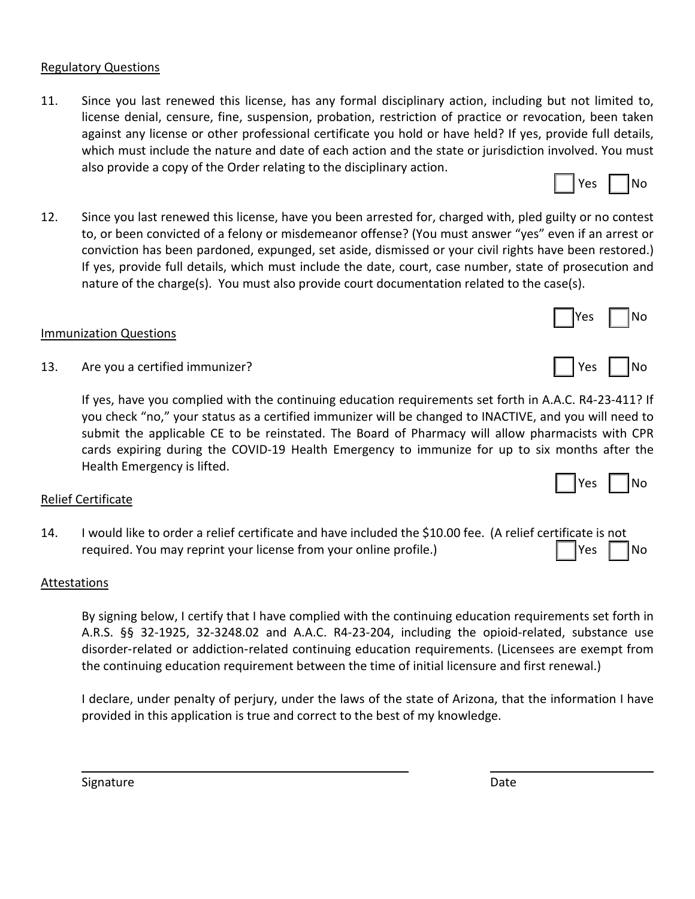#### Regulatory Questions

- 11. Since you last renewed this license, has any formal disciplinary action, including but not limited to, license denial, censure, fine, suspension, probation, restriction of practice or revocation, been taken against any license or other professional certificate you hold or have held? If yes, provide full details, which must include the nature and date of each action and the state or jurisdiction involved. You must also provide a copy of the Order relating to the disciplinary action.
- 12. Since you last renewed this license, have you been arrested for, charged with, pled guilty or no contest to, or been convicted of a felony or misdemeanor offense? (You must answer "yes" even if an arrest or conviction has been pardoned, expunged, set aside, dismissed or your civil rights have been restored.) If yes, provide full details, which must include the date, court, case number, state of prosecution and nature of the charge(s). You must also provide court documentation related to the case(s).

#### Immunization Questions

13. Are you a certified immunizer? The second second second second second second second second second second second second second second second second second second second second second second second second second second s

If yes, have you complied with the continuing education requirements set forth in A.A.C. R4-23-411? If you check "no," your status as a certified immunizer will be changed to INACTIVE, and you will need to submit the applicable CE to be reinstated. The Board of Pharmacy will allow pharmacists with CPR cards expiring during the COVID-19 Health Emergency to immunize for up to six months after the Health Emergency is lifted.

#### Relief Certificate

14. I would like to order a relief certificate and have included the \$10.00 fee. (A relief certificate is not required. You may reprint your license from your online profile.) The Most Club Section 1988 | No

#### Attestations

By signing below, I certify that I have complied with the continuing education requirements set forth in A.R.S. §§ 32-1925, 32-3248.02 and A.A.C. R4-23-204, including the opioid-related, substance use disorder-related or addiction-related continuing education requirements. (Licensees are exempt from the continuing education requirement between the time of initial licensure and first renewal.)

I declare, under penalty of perjury, under the laws of the state of Arizona, that the information I have provided in this application is true and correct to the best of my knowledge.



Yes I INo

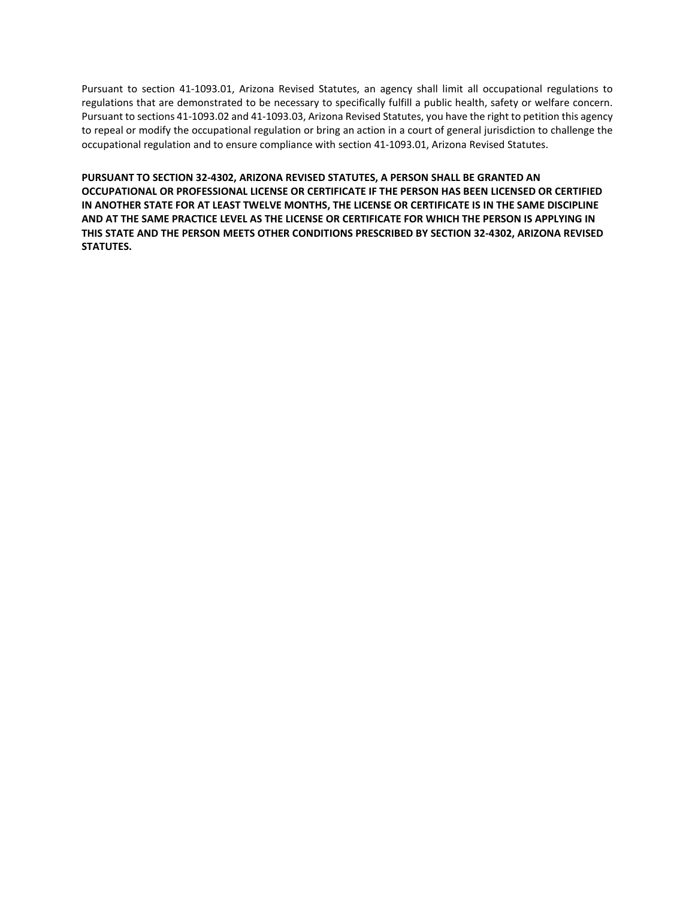Pursuant to section 41-1093.01, Arizona Revised Statutes, an agency shall limit all occupational regulations to regulations that are demonstrated to be necessary to specifically fulfill a public health, safety or welfare concern. Pursuant to sections 41-1093.02 and 41-1093.03, Arizona Revised Statutes, you have the right to petition this agency to repeal or modify the occupational regulation or bring an action in a court of general jurisdiction to challenge the occupational regulation and to ensure compliance with section 41-1093.01, Arizona Revised Statutes.

**PURSUANT TO SECTION 32-4302, ARIZONA REVISED STATUTES, A PERSON SHALL BE GRANTED AN OCCUPATIONAL OR PROFESSIONAL LICENSE OR CERTIFICATE IF THE PERSON HAS BEEN LICENSED OR CERTIFIED IN ANOTHER STATE FOR AT LEAST TWELVE MONTHS, THE LICENSE OR CERTIFICATE IS IN THE SAME DISCIPLINE AND AT THE SAME PRACTICE LEVEL AS THE LICENSE OR CERTIFICATE FOR WHICH THE PERSON IS APPLYING IN THIS STATE AND THE PERSON MEETS OTHER CONDITIONS PRESCRIBED BY SECTION 32-4302, ARIZONA REVISED STATUTES.**